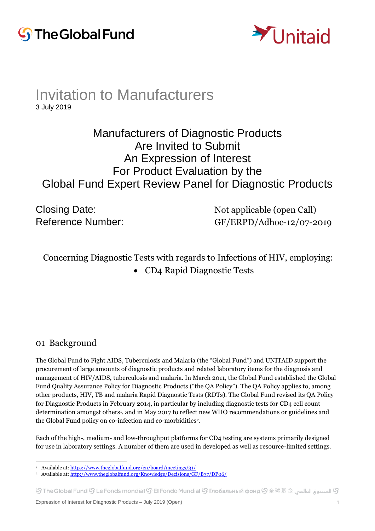



## Invitation to Manufacturers 3 July 2019

# Manufacturers of Diagnostic Products Are Invited to Submit An Expression of Interest For Product Evaluation by the Global Fund Expert Review Panel for Diagnostic Products

Closing Date: Not applicable (open Call) Reference Number: GF/ERPD/Adhoc-12/07-2019

## Concerning Diagnostic Tests with regards to Infections of HIV, employing:

• CD4 Rapid Diagnostic Tests

#### 01 Background

The Global Fund to Fight AIDS, Tuberculosis and Malaria (the "Global Fund") and UNITAID support the procurement of large amounts of diagnostic products and related laboratory items for the diagnosis and management of HIV/AIDS, tuberculosis and malaria. In March 2011, the Global Fund established the Global Fund Quality Assurance Policy for Diagnostic Products ("the QA Policy"). The QA Policy applies to, among other products, HIV, TB and malaria Rapid Diagnostic Tests (RDTs). The Global Fund revised its QA Policy for Diagnostic Products in February 2014, in particular by including diagnostic tests for CD4 cell count determination amongst others<sup>1</sup>, and in May 2017 to reflect new WHO recommendations or guidelines and the Global Fund policy on co-infection and co-morbidities2.

Each of the high-, medium- and low-throughput platforms for CD4 testing are systems primarily designed for use in laboratory settings. A number of them are used in developed as well as resource-limited settings.

 $\mathbb S$  الصندوق العالمى  $\mathbb S$  TheGlobal Fund  $\mathbb S$  Le Fonds mondial  $\mathbb S$  El Fondo Mundial  $\mathbb S$  Глобальный фонд  $\mathbb S$   $\mathbb H$   $\mathbb E$   $\mathbb R$ 

 $\overline{a}$ <sup>1</sup> Available at[: https://www.theglobalfund.org/en/board/meetings/31/](https://www.theglobalfund.org/en/board/meetings/31/)

<sup>2</sup> Available at[: http://www.theglobalfund.org/Knowledge/Decisions/GF/B37/DP06/](http://www.theglobalfund.org/Knowledge/Decisions/GF/B37/DP06/)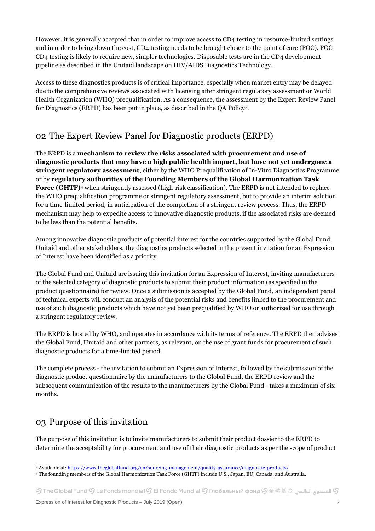However, it is generally accepted that in order to improve access to CD4 testing in resource-limited settings and in order to bring down the cost, CD4 testing needs to be brought closer to the point of care (POC). POC CD4 testing is likely to require new, simpler technologies. Disposable tests are in the CD4 development pipeline as described in the Unitaid landscape on HIV/AIDS Diagnostics Technology.

Access to these diagnostics products is of critical importance, especially when market entry may be delayed due to the comprehensive reviews associated with licensing after stringent regulatory assessment or World Health Organization (WHO) prequalification. As a consequence, the assessment by the Expert Review Panel for Diagnostics (ERPD) has been put in place, as described in the QA Policy3.

## 02 The Expert Review Panel for Diagnostic products (ERPD)

The ERPD is a **mechanism to review the risks associated with procurement and use of diagnostic products that may have a high public health impact, but have not yet undergone a stringent regulatory assessment**, either by the WHO Prequalification of In-Vitro Diagnostics Programme or by **regulatory authorities of the Founding Members of the Global Harmonization Task Force (GHTF)**<sup>4</sup> when stringently assessed (high-risk classification). The ERPD is not intended to replace the WHO prequalification programme or stringent regulatory assessment, but to provide an interim solution for a time-limited period, in anticipation of the completion of a stringent review process. Thus, the ERPD mechanism may help to expedite access to innovative diagnostic products, if the associated risks are deemed to be less than the potential benefits.

Among innovative diagnostic products of potential interest for the countries supported by the Global Fund, Unitaid and other stakeholders, the diagnostics products selected in the present invitation for an Expression of Interest have been identified as a priority.

The Global Fund and Unitaid are issuing this invitation for an Expression of Interest, inviting manufacturers of the selected category of diagnostic products to submit their product information (as specified in the product questionnaire) for review. Once a submission is accepted by the Global Fund, an independent panel of technical experts will conduct an analysis of the potential risks and benefits linked to the procurement and use of such diagnostic products which have not yet been prequalified by WHO or authorized for use through a stringent regulatory review.

The ERPD is hosted by WHO, and operates in accordance with its terms of reference. The ERPD then advises the Global Fund, Unitaid and other partners, as relevant, on the use of grant funds for procurement of such diagnostic products for a time-limited period.

The complete process - the invitation to submit an Expression of Interest, followed by the submission of the diagnostic product questionnaire by the manufacturers to the Global Fund, the ERPD review and the subsequent communication of the results to the manufacturers by the Global Fund - takes a maximum of six months.

## 03 Purpose of this invitation

The purpose of this invitation is to invite manufacturers to submit their product dossier to the ERPD to determine the acceptability for procurement and use of their diagnostic products as per the scope of product

 $\mathbb G$  الصندوة العالمي  $\mathbb G$  The Global Fund  $\mathbb G$  Le Fonds mondial  $\mathbb G$  El Fondo Mundial  $\mathbb G$  Глобальный фонд  $\mathbb G$   $\pm$  球 基  $\pm$   $\pm$ 

 $\overline{a}$ <sup>3</sup> Available at: https://www.theglobalfund.org/en/sourcing-management/quality-assurance/diagnostic-products/

<sup>4</sup> The founding members of the Global Harmonization Task Force (GHTF) include U.S., Japan, EU, Canada, and Australia.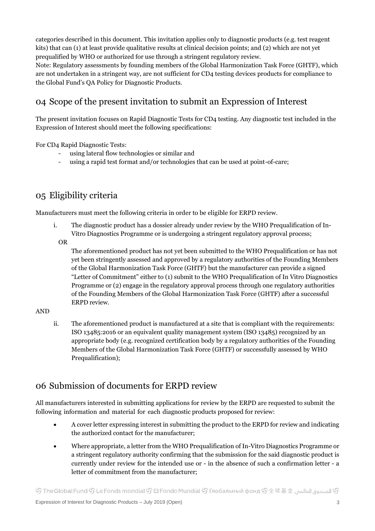categories described in this document. This invitation applies only to diagnostic products (e.g. test reagent kits) that can (1) at least provide qualitative results at clinical decision points; and (2) which are not yet prequalified by WHO or authorized for use through a stringent regulatory review.

Note: Regulatory assessments by founding members of the Global Harmonization Task Force (GHTF), which are not undertaken in a stringent way, are not sufficient for CD4 testing devices products for compliance to the Global Fund's QA Policy for Diagnostic Products.

## 04 Scope of the present invitation to submit an Expression of Interest

The present invitation focuses on Rapid Diagnostic Tests for CD4 testing. Any diagnostic test included in the Expression of Interest should meet the following specifications:

For CD4 Rapid Diagnostic Tests:

- using lateral flow technologies or similar and
- using a rapid test format and/or technologies that can be used at point-of-care;

## 05 Eligibility criteria

Manufacturers must meet the following criteria in order to be eligible for ERPD review.

- i. The diagnostic product has a dossier already under review by the WHO Prequalification of In-Vitro Diagnostics Programme or is undergoing a stringent regulatory approval process;
	- OR

The aforementioned product has not yet been submitted to the WHO Prequalification or has not yet been stringently assessed and approved by a regulatory authorities of the Founding Members of the Global Harmonization Task Force (GHTF) but the manufacturer can provide a signed "Letter of Commitment" either to (1) submit to the WHO Prequalification of In Vitro Diagnostics Programme or (2) engage in the regulatory approval process through one regulatory authorities of the Founding Members of the Global Harmonization Task Force (GHTF) after a successful ERPD review.

#### AND

ii. The aforementioned product is manufactured at a site that is compliant with the requirements: ISO 13485:2016 or an equivalent quality management system (ISO 13485) recognized by an appropriate body (e.g. recognized certification body by a regulatory authorities of the Founding Members of the Global Harmonization Task Force (GHTF) or successfully assessed by WHO Prequalification);

#### 06 Submission of documents for ERPD review

All manufacturers interested in submitting applications for review by the ERPD are requested to submit the following information and material for each diagnostic products proposed for review:

- A cover letter expressing interest in submitting the product to the ERPD for review and indicating the authorized contact for the manufacturer;
- Where appropriate, a letter from the WHO Prequalification of In-Vitro Diagnostics Programme or a stringent regulatory authority confirming that the submission for the said diagnostic product is currently under review for the intended use or - in the absence of such a confirmation letter - a letter of commitment from the manufacturer;

 $\mathbb S$  الصندوق العالمي  $\mathbb S$  The Global Fund  $\mathbb S$  Le Fonds mondial  $\mathbb S$  El Fondo Mundial  $\mathbb S$  Глобальный фонд  $\mathbb S$   $\pm$   $\mathbb R$   $\mathbb R$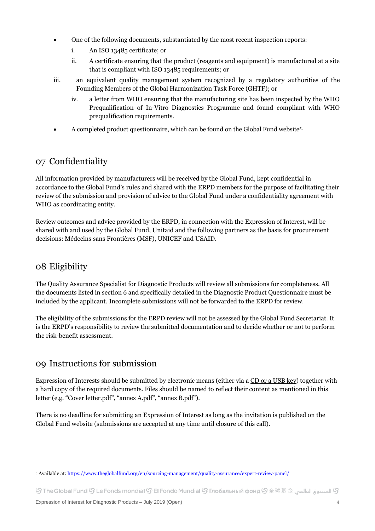- One of the following documents, substantiated by the most recent inspection reports:
	- i. An ISO 13485 certificate; or
	- ii. A certificate ensuring that the product (reagents and equipment) is manufactured at a site that is compliant with ISO 13485 requirements; or
- iii. an equivalent quality management system recognized by a regulatory authorities of the Founding Members of the Global Harmonization Task Force (GHTF); or
	- iv. a letter from WHO ensuring that the manufacturing site has been inspected by the WHO Prequalification of In-Vitro Diagnostics Programme and found compliant with WHO prequalification requirements.
- A completed product questionnaire, which can be found on the Global Fund website5.

## 07 Confidentiality

All information provided by manufacturers will be received by the Global Fund, kept confidential in accordance to the Global Fund's rules and shared with the ERPD members for the purpose of facilitating their review of the submission and provision of advice to the Global Fund under a confidentiality agreement with WHO as coordinating entity.

Review outcomes and advice provided by the ERPD, in connection with the Expression of Interest, will be shared with and used by the Global Fund, Unitaid and the following partners as the basis for procurement decisions: Médecins sans Frontières (MSF), UNICEF and USAID.

#### 08 Eligibility

The Quality Assurance Specialist for Diagnostic Products will review all submissions for completeness. All the documents listed in section 6 and specifically detailed in the Diagnostic Product Questionnaire must be included by the applicant. Incomplete submissions will not be forwarded to the ERPD for review.

The eligibility of the submissions for the ERPD review will not be assessed by the Global Fund Secretariat. It is the ERPD's responsibility to review the submitted documentation and to decide whether or not to perform the risk-benefit assessment.

#### 09 Instructions for submission

Expression of Interests should be submitted by electronic means (either via a CD or a USB key) together with a hard copy of the required documents. Files should be named to reflect their content as mentioned in this letter (e.g. "Cover letter.pdf", "annex A.pdf", "annex B.pdf").

There is no deadline for submitting an Expression of Interest as long as the invitation is published on the Global Fund website (submissions are accepted at any time until closure of this call).

 $\overline{a}$ <sup>5</sup> Available at[: https://www.theglobalfund.org/en/sourcing-management/quality-assurance/expert-review-panel/](https://www.theglobalfund.org/en/sourcing-management/quality-assurance/expert-review-panel/)

④ الصندوة، العالمي GTheGlobal Fund  $\mathbb G$  Le Fonds mondial  $\mathbb G$  El Fondo Mundial  $\mathbb G$  Глобальный фонд  $\mathbb G$   $\pm$   $\mathbb R$   $\mathbb R$